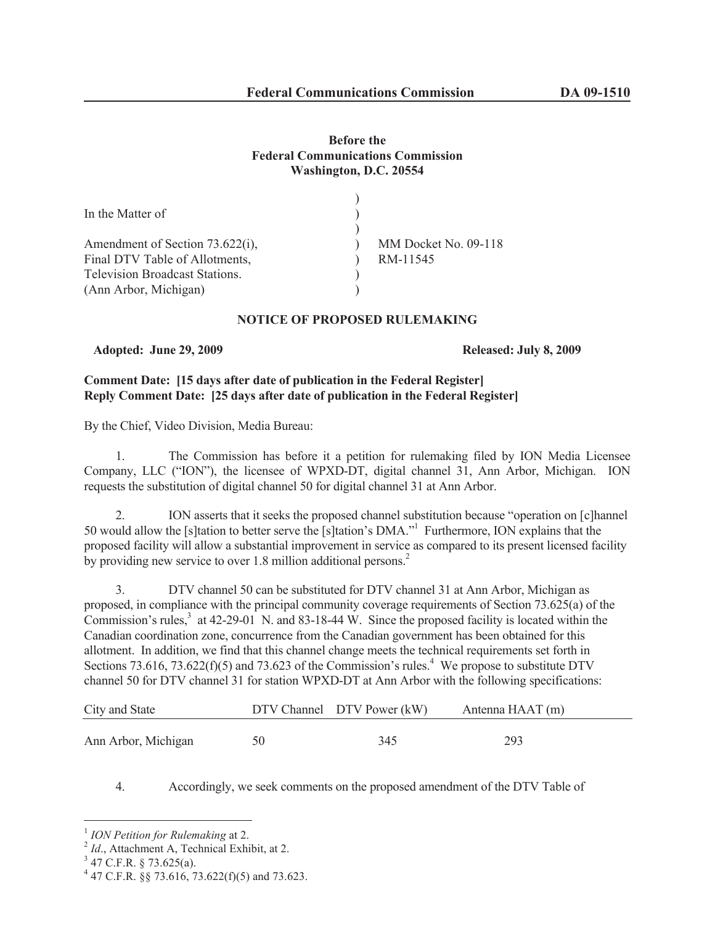# **Before the Federal Communications Commission Washington, D.C. 20554**

| MM Docket No. 09-118 |
|----------------------|
| RM-11545             |
|                      |
|                      |
|                      |

# **NOTICE OF PROPOSED RULEMAKING**

**Adopted: June 29, 2009 Released: July 8, 2009**

# **Comment Date: [15 days after date of publication in the Federal Register] Reply Comment Date: [25 days after date of publication in the Federal Register]**

By the Chief, Video Division, Media Bureau:

1. The Commission has before it a petition for rulemaking filed by ION Media Licensee Company, LLC ("ION"), the licensee of WPXD-DT, digital channel 31, Ann Arbor, Michigan. ION requests the substitution of digital channel 50 for digital channel 31 at Ann Arbor.

2. ION asserts that it seeks the proposed channel substitution because "operation on [c]hannel 50 would allow the [s]tation to better serve the [s]tation's DMA."<sup>1</sup> Furthermore, ION explains that the proposed facility will allow a substantial improvement in service as compared to its present licensed facility by providing new service to over 1.8 million additional persons.<sup>2</sup>

3. DTV channel 50 can be substituted for DTV channel 31 at Ann Arbor, Michigan as proposed, in compliance with the principal community coverage requirements of Section 73.625(a) of the Commission's rules, $3$  at 42-29-01 N. and 83-18-44 W. Since the proposed facility is located within the Canadian coordination zone, concurrence from the Canadian government has been obtained for this allotment. In addition, we find that this channel change meets the technical requirements set forth in Sections 73.616, 73.622(f)(5) and 73.623 of the Commission's rules.<sup>4</sup> We propose to substitute DTV channel 50 for DTV channel 31 for station WPXD-DT at Ann Arbor with the following specifications:

| City and State      |    | DTV Channel DTV Power (kW) | Antenna HAAT (m) |
|---------------------|----|----------------------------|------------------|
| Ann Arbor, Michigan | 50 | 345                        | 293              |

# 4. Accordingly, we seek comments on the proposed amendment of the DTV Table of

<sup>1</sup> *ION Petition for Rulemaking* at 2.

<sup>&</sup>lt;sup>2</sup> Id., Attachment A, Technical Exhibit, at 2.

 $3$  47 C.F.R. § 73.625(a).

<sup>4</sup> 47 C.F.R. §§ 73.616, 73.622(f)(5) and 73.623.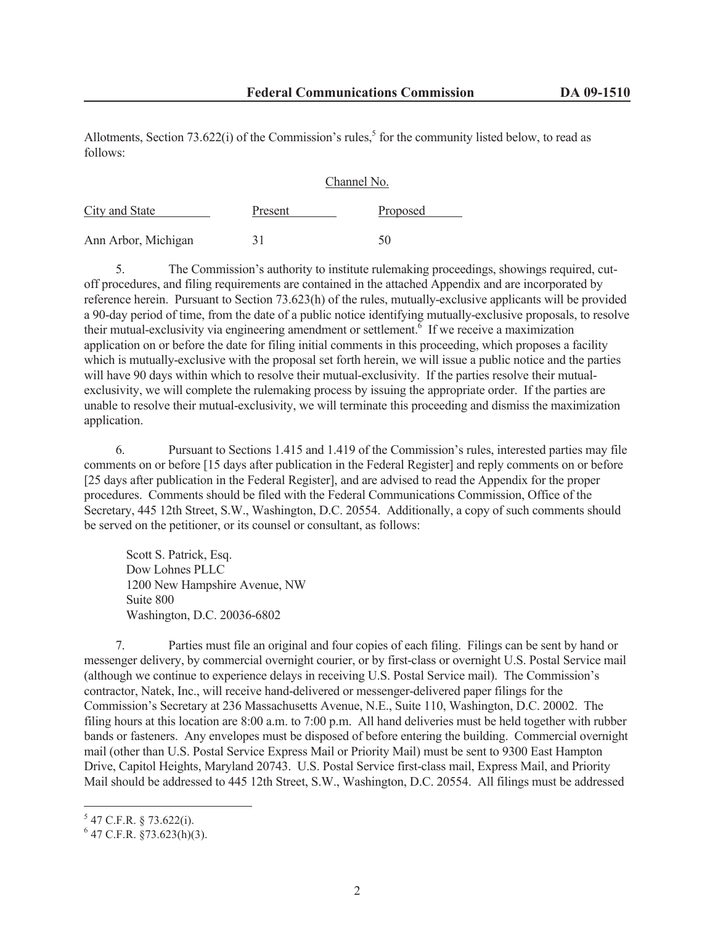Allotments, Section 73.622(i) of the Commission's rules,<sup>5</sup> for the community listed below, to read as follows:

### Channel No.

| City and State      | Present | Proposed |
|---------------------|---------|----------|
| Ann Arbor, Michigan | 31      | 50       |

5. The Commission's authority to institute rulemaking proceedings, showings required, cutoff procedures, and filing requirements are contained in the attached Appendix and are incorporated by reference herein. Pursuant to Section 73.623(h) of the rules, mutually-exclusive applicants will be provided a 90-day period of time, from the date of a public notice identifying mutually-exclusive proposals, to resolve their mutual-exclusivity via engineering amendment or settlement.<sup> $\delta$ </sup> If we receive a maximization application on or before the date for filing initial comments in this proceeding, which proposes a facility which is mutually-exclusive with the proposal set forth herein, we will issue a public notice and the parties will have 90 days within which to resolve their mutual-exclusivity. If the parties resolve their mutualexclusivity, we will complete the rulemaking process by issuing the appropriate order. If the parties are unable to resolve their mutual-exclusivity, we will terminate this proceeding and dismiss the maximization application.

6. Pursuant to Sections 1.415 and 1.419 of the Commission's rules, interested parties may file comments on or before [15 days after publication in the Federal Register] and reply comments on or before [25 days after publication in the Federal Register], and are advised to read the Appendix for the proper procedures. Comments should be filed with the Federal Communications Commission, Office of the Secretary, 445 12th Street, S.W., Washington, D.C. 20554. Additionally, a copy of such comments should be served on the petitioner, or its counsel or consultant, as follows:

Scott S. Patrick, Esq. Dow Lohnes PLLC 1200 New Hampshire Avenue, NW Suite 800 Washington, D.C. 20036-6802

7. Parties must file an original and four copies of each filing. Filings can be sent by hand or messenger delivery, by commercial overnight courier, or by first-class or overnight U.S. Postal Service mail (although we continue to experience delays in receiving U.S. Postal Service mail). The Commission's contractor, Natek, Inc., will receive hand-delivered or messenger-delivered paper filings for the Commission's Secretary at 236 Massachusetts Avenue, N.E., Suite 110, Washington, D.C. 20002. The filing hours at this location are 8:00 a.m. to 7:00 p.m. All hand deliveries must be held together with rubber bands or fasteners. Any envelopes must be disposed of before entering the building. Commercial overnight mail (other than U.S. Postal Service Express Mail or Priority Mail) must be sent to 9300 East Hampton Drive, Capitol Heights, Maryland 20743. U.S. Postal Service first-class mail, Express Mail, and Priority Mail should be addressed to 445 12th Street, S.W., Washington, D.C. 20554. All filings must be addressed

 $5$  47 C.F.R. § 73.622(i).

 $6$  47 C.F.R. §73.623(h)(3).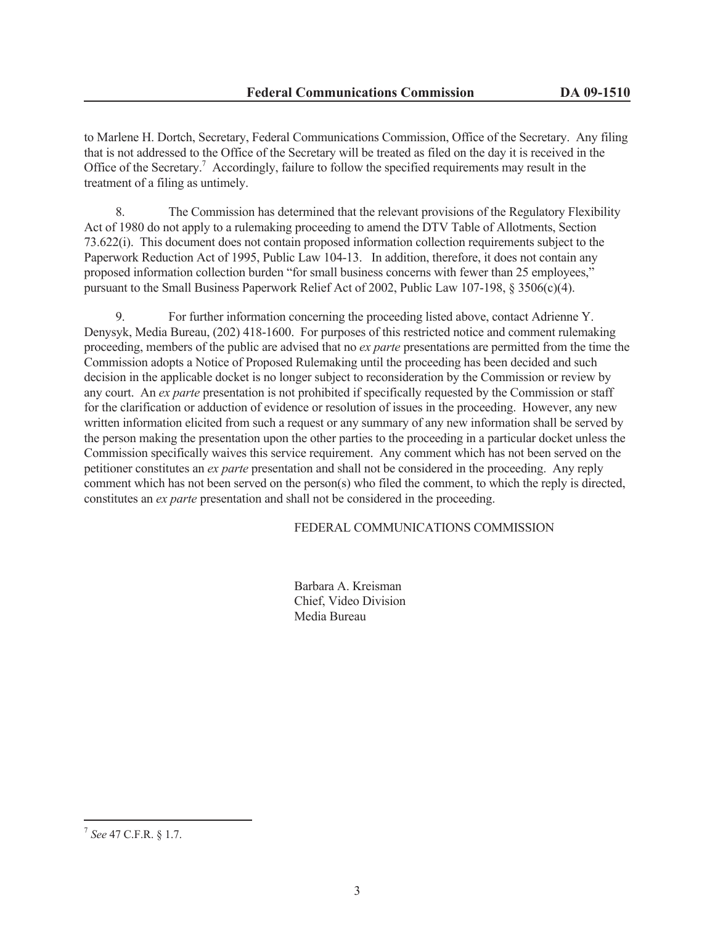to Marlene H. Dortch, Secretary, Federal Communications Commission, Office of the Secretary. Any filing that is not addressed to the Office of the Secretary will be treated as filed on the day it is received in the Office of the Secretary.<sup>7</sup> Accordingly, failure to follow the specified requirements may result in the treatment of a filing as untimely.

8. The Commission has determined that the relevant provisions of the Regulatory Flexibility Act of 1980 do not apply to a rulemaking proceeding to amend the DTV Table of Allotments, Section 73.622(i). This document does not contain proposed information collection requirements subject to the Paperwork Reduction Act of 1995, Public Law 104-13. In addition, therefore, it does not contain any proposed information collection burden "for small business concerns with fewer than 25 employees," pursuant to the Small Business Paperwork Relief Act of 2002, Public Law 107-198, § 3506(c)(4).

9. For further information concerning the proceeding listed above, contact Adrienne Y. Denysyk, Media Bureau, (202) 418-1600. For purposes of this restricted notice and comment rulemaking proceeding, members of the public are advised that no *ex parte* presentations are permitted from the time the Commission adopts a Notice of Proposed Rulemaking until the proceeding has been decided and such decision in the applicable docket is no longer subject to reconsideration by the Commission or review by any court. An *ex parte* presentation is not prohibited if specifically requested by the Commission or staff for the clarification or adduction of evidence or resolution of issues in the proceeding. However, any new written information elicited from such a request or any summary of any new information shall be served by the person making the presentation upon the other parties to the proceeding in a particular docket unless the Commission specifically waives this service requirement. Any comment which has not been served on the petitioner constitutes an *ex parte* presentation and shall not be considered in the proceeding. Any reply comment which has not been served on the person(s) who filed the comment, to which the reply is directed, constitutes an *ex parte* presentation and shall not be considered in the proceeding.

## FEDERAL COMMUNICATIONS COMMISSION

Barbara A. Kreisman Chief, Video Division Media Bureau

<sup>7</sup> *See* 47 C.F.R. § 1.7.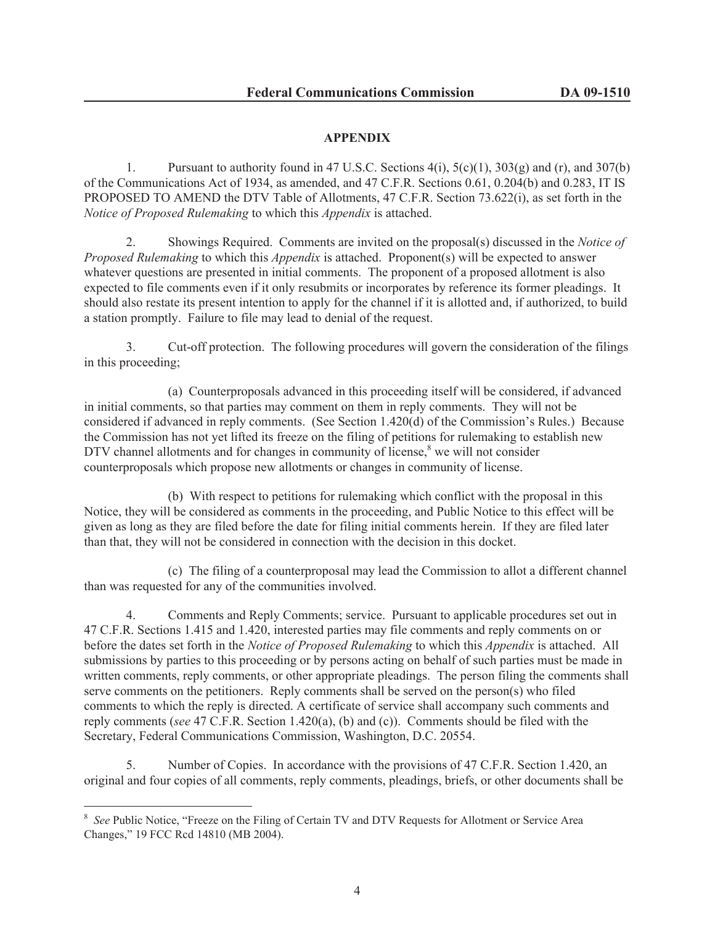# **APPENDIX**

1. Pursuant to authority found in 47 U.S.C. Sections  $4(i)$ ,  $5(c)(1)$ ,  $303(g)$  and  $(r)$ , and  $307(b)$ of the Communications Act of 1934, as amended, and 47 C.F.R. Sections 0.61, 0.204(b) and 0.283, IT IS PROPOSED TO AMEND the DTV Table of Allotments, 47 C.F.R. Section 73.622(i), as set forth in the *Notice of Proposed Rulemaking* to which this *Appendix* is attached.

2. Showings Required. Comments are invited on the proposal(s) discussed in the *Notice of Proposed Rulemaking* to which this *Appendix* is attached. Proponent(s) will be expected to answer whatever questions are presented in initial comments. The proponent of a proposed allotment is also expected to file comments even if it only resubmits or incorporates by reference its former pleadings. It should also restate its present intention to apply for the channel if it is allotted and, if authorized, to build a station promptly. Failure to file may lead to denial of the request.

3. Cut-off protection. The following procedures will govern the consideration of the filings in this proceeding;

(a) Counterproposals advanced in this proceeding itself will be considered, if advanced in initial comments, so that parties may comment on them in reply comments. They will not be considered if advanced in reply comments. (See Section 1.420(d) of the Commission's Rules.) Because the Commission has not yet lifted its freeze on the filing of petitions for rulemaking to establish new DTV channel allotments and for changes in community of license, $\delta$  we will not consider counterproposals which propose new allotments or changes in community of license.

(b) With respect to petitions for rulemaking which conflict with the proposal in this Notice, they will be considered as comments in the proceeding, and Public Notice to this effect will be given as long as they are filed before the date for filing initial comments herein. If they are filed later than that, they will not be considered in connection with the decision in this docket.

(c) The filing of a counterproposal may lead the Commission to allot a different channel than was requested for any of the communities involved.

4. Comments and Reply Comments; service. Pursuant to applicable procedures set out in 47 C.F.R. Sections 1.415 and 1.420, interested parties may file comments and reply comments on or before the dates set forth in the *Notice of Proposed Rulemaking* to which this *Appendix* is attached. All submissions by parties to this proceeding or by persons acting on behalf of such parties must be made in written comments, reply comments, or other appropriate pleadings. The person filing the comments shall serve comments on the petitioners. Reply comments shall be served on the person(s) who filed comments to which the reply is directed. A certificate of service shall accompany such comments and reply comments (*see* 47 C.F.R. Section 1.420(a), (b) and (c)). Comments should be filed with the Secretary, Federal Communications Commission, Washington, D.C. 20554.

5. Number of Copies. In accordance with the provisions of 47 C.F.R. Section 1.420, an original and four copies of all comments, reply comments, pleadings, briefs, or other documents shall be

<sup>&</sup>lt;sup>8</sup> See Public Notice, "Freeze on the Filing of Certain TV and DTV Requests for Allotment or Service Area Changes," 19 FCC Rcd 14810 (MB 2004).